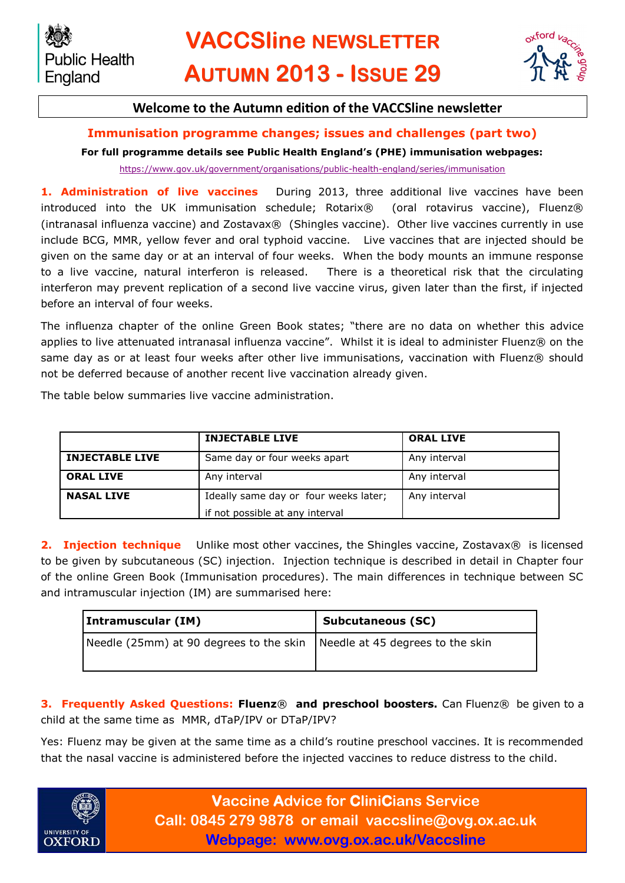

## **Welcome to the Autumn edition of the VACCSline newsletter**

## **Immunisation programme changes; issues and challenges (part two)**

### **For full programme details see Public Health England's (PHE) immunisation webpages:**

<https://www.gov.uk/government/organisations/public-health-england/series/immunisation>

**1. Administration of live vaccines** During 2013, three additional live vaccines have been introduced into the UK immunisation schedule; Rotarix® (oral rotavirus vaccine), Fluenz® (intranasal influenza vaccine) and Zostavax® (Shingles vaccine). Other live vaccines currently in use include BCG, MMR, yellow fever and oral typhoid vaccine. Live vaccines that are injected should be given on the same day or at an interval of four weeks. When the body mounts an immune response to a live vaccine, natural interferon is released. There is a theoretical risk that the circulating interferon may prevent replication of a second live vaccine virus, given later than the first, if injected before an interval of four weeks.

The influenza chapter of the online Green Book states; "there are no data on whether this advice applies to live attenuated intranasal influenza vaccine". Whilst it is ideal to administer Fluenz® on the same day as or at least four weeks after other live immunisations, vaccination with Fluenz® should not be deferred because of another recent live vaccination already given.

The table below summaries live vaccine administration.

|                        | <b>INJECTABLE LIVE</b>                | <b>ORAL LIVE</b> |
|------------------------|---------------------------------------|------------------|
| <b>INJECTABLE LIVE</b> | Same day or four weeks apart          | Any interval     |
| <b>ORAL LIVE</b>       | Any interval                          | Any interval     |
| <b>NASAL LIVE</b>      | Ideally same day or four weeks later; | Any interval     |
|                        | if not possible at any interval       |                  |

**2. Injection technique** Unlike most other vaccines, the Shingles vaccine, Zostavax<sup>®</sup> is licensed to be given by subcutaneous (SC) injection. Injection technique is described in detail in Chapter four of the online Green Book (Immunisation procedures). The main differences in technique between SC and intramuscular injection (IM) are summarised here:

| Intramuscular (IM)                                                         | ' Subcutaneous (SC) |  |
|----------------------------------------------------------------------------|---------------------|--|
| Needle (25mm) at 90 degrees to the skin   Needle at 45 degrees to the skin |                     |  |

**3. Frequently Asked Questions: Fluenz**® **and preschool boosters.** Can Fluenz® be given to a child at the same time as MMR, dTaP/IPV or DTaP/IPV?

Yes: Fluenz may be given at the same time as a child's routine preschool vaccines. It is recommended that the nasal vaccine is administered before the injected vaccines to reduce distress to the child.



**Vaccine Advice for CliniCians Service Call: 0845 279 9878 or email vaccsline@ovg.ox.ac.uk Webpage: www.ovg.ox.ac.uk/Vaccsline**